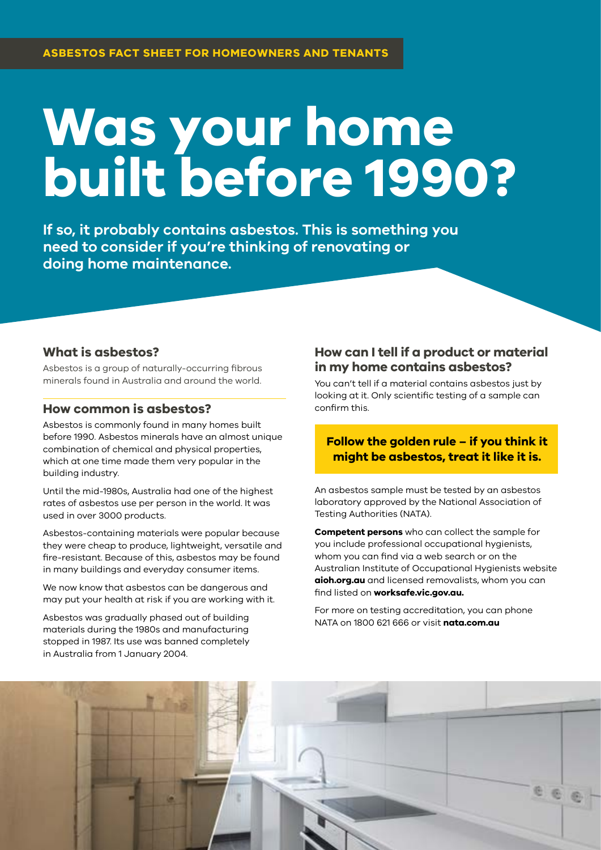# **Was your home built before 1990?**

**If so, it probably contains asbestos. This is something you need to consider if you're thinking of renovating or doing home maintenance.**

#### **What is asbestos?**

Asbestos is a group of naturally-occurring fibrous minerals found in Australia and around the world.

#### **How common is asbestos?**

Asbestos is commonly found in many homes built before 1990. Asbestos minerals have an almost unique combination of chemical and physical properties, which at one time made them very popular in the building industry.

Until the mid-1980s, Australia had one of the highest rates of asbestos use per person in the world. It was used in over 3000 products.

Asbestos-containing materials were popular because they were cheap to produce, lightweight, versatile and fire-resistant. Because of this, asbestos may be found in many buildings and everyday consumer items.

We now know that asbestos can be dangerous and may put your health at risk if you are working with it.

Asbestos was gradually phased out of building materials during the 1980s and manufacturing stopped in 1987. Its use was banned completely in Australia from 1 January 2004.

#### **How can I tell if a product or material in my home contains asbestos?**

You can't tell if a material contains asbestos just by looking at it. Only scientific testing of a sample can confirm this.

#### **Follow the golden rule – if you think it might be asbestos, treat it like it is.**

An asbestos sample must be tested by an asbestos laboratory approved by the National Association of Testing Authorities (NATA).

**Competent persons** who can collect the sample for you include professional occupational hygienists, whom you can find via a web search or on the Australian Institute of Occupational Hygienists website **[aioh.org.au](http://aioh.org.au)** and licensed removalists, whom you can find listed on **[worksafe.vic.gov.au.](http://worksafe.vic.gov.au)** 

For more on testing accreditation, you can phone NATA on 1800 621 666 or visit **[nata.com.au](http://nata.com.au)**

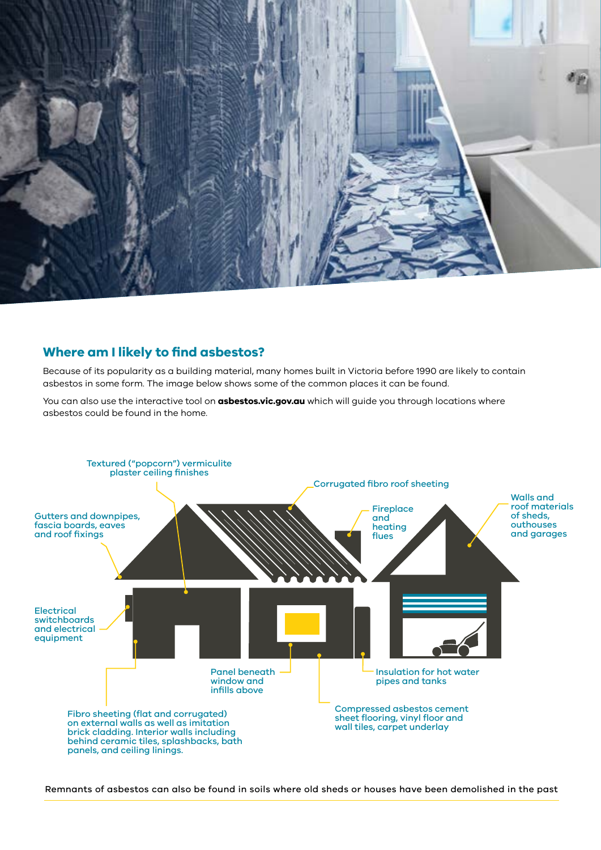

#### **Where am I likely to find asbestos?**

Because of its popularity as a building material, many homes built in Victoria before 1990 are likely to contain asbestos in some form. The image below shows some of the common places it can be found.

You can also use the interactive tool on **[asbestos.vic.gov.au](http://asbestos.vic.gov.au)** which will guide you through locations where asbestos could be found in the home.



Remnants of asbestos can also be found in soils where old sheds or houses have been demolished in the past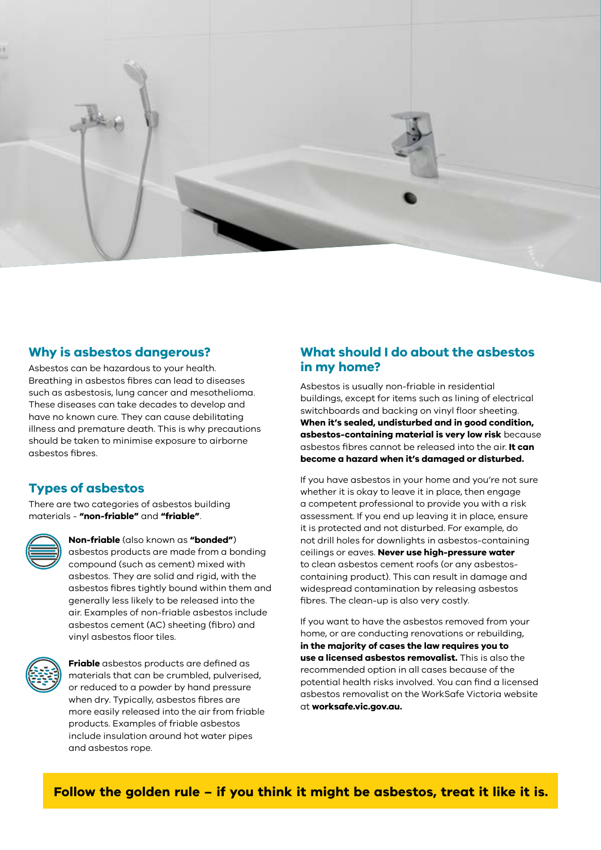

#### **Why is asbestos dangerous?**

Asbestos can be hazardous to your health. Breathing in asbestos fibres can lead to diseases such as asbestosis, lung cancer and mesothelioma. These diseases can take decades to develop and have no known cure. They can cause debilitating illness and premature death. This is why precautions should be taken to minimise exposure to airborne asbestos fibres.

## **Types of asbestos**

There are two categories of asbestos building materials - **"non-friable"** and **"friable"**.



**Non-friable** (also known as **"bonded"**) asbestos products are made from a bonding compound (such as cement) mixed with asbestos. They are solid and rigid, with the asbestos fibres tightly bound within them and generally less likely to be released into the air. Examples of non-friable asbestos include asbestos cement (AC) sheeting (fibro) and vinyl asbestos floor tiles.



**Friable** asbestos products are defined as materials that can be crumbled, pulverised, or reduced to a powder by hand pressure when dry. Typically, asbestos fibres are more easily released into the air from friable products. Examples of friable asbestos include insulation around hot water pipes and asbestos rope.

## **What should I do about the asbestos in my home?**

Asbestos is usually non-friable in residential buildings, except for items such as lining of electrical switchboards and backing on vinyl floor sheeting. **When it's sealed, undisturbed and in good condition, asbestos-containing material is very low risk** because asbestos fibres cannot be released into the air. **It can become a hazard when it's damaged or disturbed.** 

If you have asbestos in your home and you're not sure whether it is okay to leave it in place, then engage a competent professional to provide you with a risk assessment. If you end up leaving it in place, ensure it is protected and not disturbed. For example, do not drill holes for downlights in asbestos-containing ceilings or eaves. **Never use high-pressure water** to clean asbestos cement roofs (or any asbestoscontaining product). This can result in damage and widespread contamination by releasing asbestos fibres. The clean-up is also very costly.

If you want to have the asbestos removed from your home, or are conducting renovations or rebuilding, **in the majority of cases the law requires you to use a licensed asbestos removalist.** This is also the recommended option in all cases because of the potential health risks involved. You can find a licensed asbestos removalist on the WorkSafe Victoria website at **[worksafe.vic.gov.au](http://worksafe.vic.gov.au).**

**Follow the golden rule – if you think it might be asbestos, treat it like it is.**